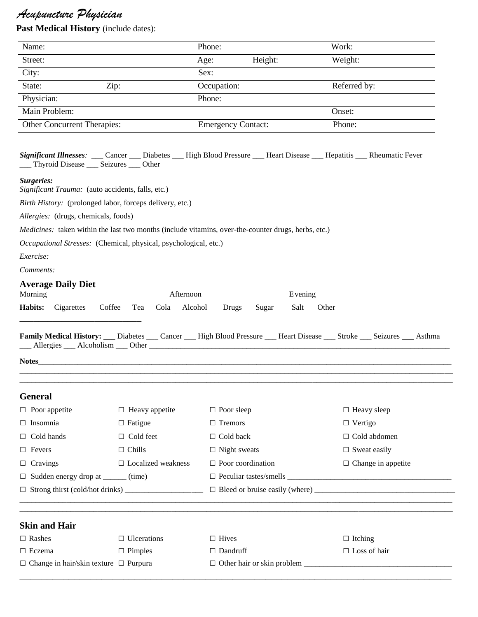# *Acupuncture Physician*

**Past Medical History** (include dates):

| Name:                       | Phone:                    | Work:        |
|-----------------------------|---------------------------|--------------|
| Street:                     | Height:<br>Age:           | Weight:      |
| City:                       | Sex:                      |              |
| State:<br>Zip:              | Occupation:               | Referred by: |
| Physician:                  | Phone:                    |              |
| Main Problem:               |                           | Onset:       |
| Other Concurrent Therapies: | <b>Emergency Contact:</b> | Phone:       |
|                             |                           |              |

|                                         |  | Significant Illnesses: ___ Cancer ___ Diabetes ___ High Blood Pressure ___ Heart Disease ___ Hepatitis ___ Rheumatic Fever |  |  |
|-----------------------------------------|--|----------------------------------------------------------------------------------------------------------------------------|--|--|
| __ Thyroid Disease __ Seizures __ Other |  |                                                                                                                            |  |  |

#### *Surgeries:*

*Significant Trauma:* (auto accidents, falls, etc.)

*Birth History:* (prolonged labor, forceps delivery, etc.)

*Allergies:* (drugs, chemicals, foods)

*Medicines:* taken within the last two months (include vitamins, over-the-counter drugs, herbs, etc.)

*Occupational Stresses:* (Chemical, physical, psychological, etc.)

*Exercise:*

*Comments:*

### **Average Daily Diet**

| Morning |                                                                    |  | Afternoon |  | Evening |       |
|---------|--------------------------------------------------------------------|--|-----------|--|---------|-------|
|         | <b>Habits:</b> Cigarettes Coffee Tea Cola Alcohol Drugs Sugar Salt |  |           |  |         | Other |

|           |            |       | <b>Family Medical History:</b> ___ Diabetes ___ Cancer ___ High Blood Pressure ___ Heart Disease _ | Stroke Seizures | Asthma |
|-----------|------------|-------|----------------------------------------------------------------------------------------------------|-----------------|--------|
| Allergies | Alcoholism | Other |                                                                                                    |                 |        |

\_\_\_\_\_\_\_\_\_\_\_\_\_\_\_\_\_\_\_\_\_\_\_\_\_\_\_\_\_\_\_\_\_\_\_\_\_\_\_\_\_\_\_\_\_\_\_\_\_\_\_\_\_\_\_\_\_\_\_\_\_\_\_\_\_\_\_\_\_\_\_\_\_\_\_\_\_\_\_\_\_\_\_\_\_\_\_\_\_\_\_\_\_\_\_\_\_\_\_\_\_\_\_\_\_\_\_\_\_\_\_ \_\_\_\_\_\_\_\_\_\_\_\_\_\_\_\_\_\_\_\_\_\_\_\_\_\_\_\_\_\_\_\_\_\_\_\_\_\_\_\_\_\_\_\_\_\_\_\_\_\_\_\_\_\_\_\_\_\_\_\_\_\_\_\_\_\_\_\_\_\_\_\_\_\_\_\_\_\_\_\_\_\_\_\_\_\_\_\_\_\_\_\_\_\_\_\_\_\_\_\_\_\_\_\_\_\_\_\_\_\_\_

**Notes**\_\_\_\_\_\_\_\_\_\_\_\_\_\_\_\_\_\_\_\_\_\_\_\_\_\_\_\_\_\_\_\_\_\_\_\_\_\_\_\_\_\_\_\_\_\_\_\_\_\_\_\_\_\_\_\_\_\_\_\_\_\_\_\_\_\_\_\_\_\_\_\_\_\_\_\_\_\_\_\_\_\_\_\_\_\_\_\_\_\_\_\_\_\_\_\_\_\_\_\_\_\_\_\_\_\_

#### **General**

| $\Box$ Poor appetite                              | $\Box$ Heavy appetite     | $\Box$ Poor sleep        | $\Box$ Heavy sleep        |  |  |
|---------------------------------------------------|---------------------------|--------------------------|---------------------------|--|--|
| $\Box$ Insomnia                                   | $\Box$ Fatigue            | $\Box$ Tremors           | $\Box$ Vertigo            |  |  |
| $\Box$ Cold hands                                 | $\Box$ Cold feet          | $\Box$ Cold back         | $\Box$ Cold abdomen       |  |  |
| $\Box$ Fevers                                     | $\Box$ Chills             | $\Box$ Night sweats      | $\Box$ Sweat easily       |  |  |
| $\Box$ Cravings                                   | $\Box$ Localized weakness | $\Box$ Poor coordination | $\Box$ Change in appetite |  |  |
| $\Box$ Sudden energy drop at _______ (time)       |                           |                          |                           |  |  |
|                                                   |                           |                          |                           |  |  |
|                                                   |                           |                          |                           |  |  |
| <b>Skin and Hair</b>                              |                           |                          |                           |  |  |
| $\Box$ Rashes                                     | $\Box$ Ulcerations        | $\Box$ Hives             | $\Box$ Itching            |  |  |
| $\Box$ Eczema                                     | $\Box$ Pimples            | $\Box$ Dandruff          | $\Box$ Loss of hair       |  |  |
| $\Box$ Change in hair/skin texture $\Box$ Purpura |                           |                          |                           |  |  |
|                                                   |                           |                          |                           |  |  |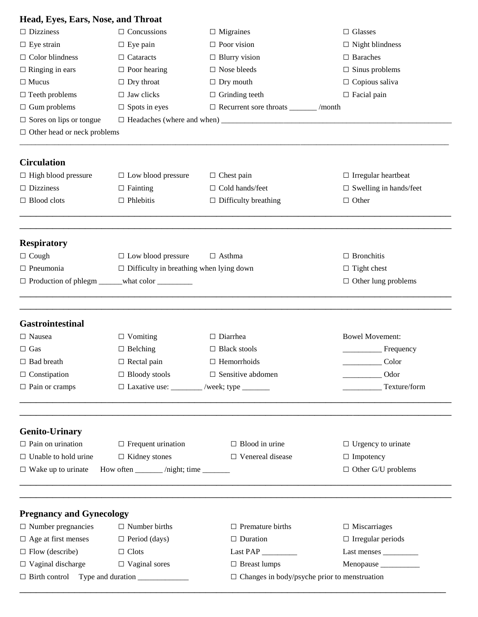| Head, Eyes, Ears, Nose, and Throat |                                                  |                                                         |                                  |
|------------------------------------|--------------------------------------------------|---------------------------------------------------------|----------------------------------|
| $\Box$ Dizziness                   | $\Box$ Concussions                               | $\Box$ Migraines                                        | $\Box$ Glasses                   |
| $\Box$ Eye strain                  | $\Box$ Eye pain                                  | $\Box$ Poor vision                                      | $\Box$ Night blindness           |
| $\Box$ Color blindness             | $\Box$ Cataracts                                 | $\Box$ Blurry vision                                    | $\Box$ Baraches                  |
| $\Box$ Ringing in ears             | $\Box$ Poor hearing                              | $\hfill\Box$<br>Nose bleeds                             | $\square$ Sinus problems         |
| $\Box$ Mucus                       | $\Box$ Dry throat                                | $\Box$ Dry mouth                                        | $\Box$ Copious saliva            |
| $\Box$ Teeth problems              | $\Box$ Jaw clicks                                | $\Box$ Grinding teeth                                   | $\Box$ Facial pain               |
| $\Box$ Gum problems                | $\Box$ Spots in eyes                             | $\hfill\Box$<br>Recurrent sore throats _________ /month |                                  |
| $\Box$ Sores on lips or tongue     |                                                  |                                                         |                                  |
| $\Box$ Other head or neck problems |                                                  |                                                         |                                  |
| <b>Circulation</b>                 |                                                  |                                                         |                                  |
| $\Box$ High blood pressure         | $\Box$ Low blood pressure                        | $\Box$ Chest pain                                       | $\Box$ Irregular heartbeat       |
| $\Box$ Dizziness                   | $\Box$ Fainting                                  | $\Box$ Cold hands/feet                                  | $\square$ Swelling in hands/feet |
| $\Box$ Blood clots                 | $\Box$ Phlebitis                                 | $\Box$ Difficulty breathing                             | $\Box$ Other                     |
|                                    |                                                  |                                                         |                                  |
| <b>Respiratory</b>                 |                                                  |                                                         |                                  |
| $\Box$ Cough                       | $\Box$ Low blood pressure                        | $\Box$ Asthma                                           | $\Box$ Bronchitis                |
| $\Box$ Pneumonia                   | $\Box$ Difficulty in breathing when lying down   |                                                         | $\Box$ Tight chest               |
|                                    | □ Production of phlegm ______what color ________ |                                                         | $\Box$ Other lung problems       |
| Gastrointestinal                   |                                                  |                                                         |                                  |
| $\Box$ Nausea                      | $\Box$ Vomiting                                  | $\Box$ Diarrhea                                         | <b>Bowel Movement:</b>           |
| $\Box$ Gas                         | $\Box$ Belching                                  | $\Box$ Black stools                                     | Frequency                        |
| $\Box$ Bad breath                  | $\Box$ Rectal pain                               | $\Box$ Hemorrhoids                                      | Color                            |
| $\Box$ Constipation                | $\Box$ Bloody stools                             | $\Box$ Sensitive abdomen                                | Odor                             |
| $\Box$ Pain or cramps              | □ Laxative use: ________ /week; type _______     |                                                         | Texture/form                     |
|                                    |                                                  |                                                         |                                  |
| <b>Genito-Urinary</b>              |                                                  |                                                         |                                  |
| $\Box$ Pain on urination           | $\Box$ Frequent urination                        | $\Box$ Blood in urine                                   | $\Box$ Urgency to urinate        |
| $\Box$ Unable to hold urine        | $\Box$ Kidney stones                             | $\Box$ Venereal disease                                 | $\Box$ Impotency                 |
| $\Box$ Wake up to urinate          | How often ______ /night; time _____              |                                                         | $\Box$ Other G/U problems        |
| <b>Pregnancy and Gynecology</b>    |                                                  |                                                         |                                  |
| $\Box$ Number pregnancies          | $\Box$ Number births                             | $\Box$ Premature births                                 | $\Box$ Miscarriages              |
| $\Box$ Age at first menses         | $\Box$ Period (days)                             | $\Box$ Duration                                         | $\Box$ Irregular periods         |
| $\Box$ Flow (describe)             | $\Box$ Clots                                     | Last PAP                                                |                                  |
| $\Box$ Vaginal discharge           | $\Box$ Vaginal sores                             | $\Box$ Breast lumps                                     | Menopause ________               |
|                                    |                                                  | $\Box$ Changes in body/psyche prior to menstruation     |                                  |
|                                    |                                                  |                                                         |                                  |